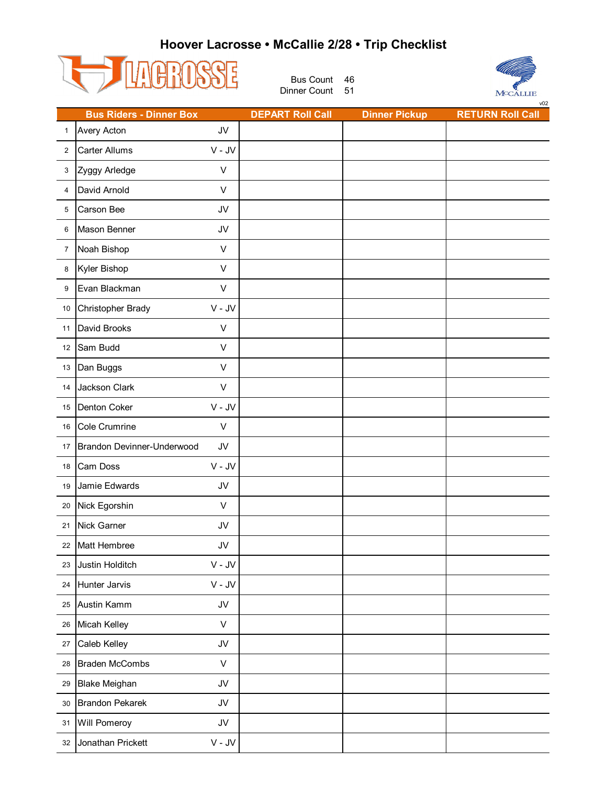## **Hoover Lacrosse • McCallie 2/28 • Trip Checklist**



Bus Count 46 Dinner Count 51



|                | <b>Bus Riders - Dinner Box</b> |                  | <b>DEPART Roll Call</b> | <b>Dinner Pickup</b> | <b>RETURN Roll Call</b> |
|----------------|--------------------------------|------------------|-------------------------|----------------------|-------------------------|
| $\mathbf{1}$   | <b>Avery Acton</b>             | JV               |                         |                      |                         |
| $\overline{2}$ | Carter Allums                  | $V - JV$         |                         |                      |                         |
| 3              | Zyggy Arledge                  | $\vee$           |                         |                      |                         |
| 4              | David Arnold                   | $\vee$           |                         |                      |                         |
| 5              | Carson Bee                     | JV               |                         |                      |                         |
| 6              | Mason Benner                   | JV               |                         |                      |                         |
| $\overline{7}$ | Noah Bishop                    | $\vee$           |                         |                      |                         |
| 8              | Kyler Bishop                   | $\vee$           |                         |                      |                         |
| 9              | Evan Blackman                  | V                |                         |                      |                         |
| 10             | Christopher Brady              | $V - JV$         |                         |                      |                         |
| 11             | David Brooks                   | $\vee$           |                         |                      |                         |
| 12             | Sam Budd                       | V                |                         |                      |                         |
| 13             | Dan Buggs                      | $\vee$           |                         |                      |                         |
| 14             | Jackson Clark                  | $\vee$           |                         |                      |                         |
| 15             | Denton Coker                   | $V - JV$         |                         |                      |                         |
| 16             | Cole Crumrine                  | $\sf V$          |                         |                      |                         |
| 17             | Brandon Devinner-Underwood     | JV               |                         |                      |                         |
| 18             | Cam Doss                       | $V - JV$         |                         |                      |                         |
| 19             | Jamie Edwards                  | JV               |                         |                      |                         |
| 20             | Nick Egorshin                  | $\vee$           |                         |                      |                         |
| 21             | Nick Garner                    | JV               |                         |                      |                         |
| 22             | Matt Hembree                   | JV               |                         |                      |                         |
| 23             | Justin Holditch                | $V - JV$         |                         |                      |                         |
| 24             | Hunter Jarvis                  | $V - JV$         |                         |                      |                         |
| 25             | Austin Kamm                    | JV               |                         |                      |                         |
| 26             | Micah Kelley                   | $\mathsf V$      |                         |                      |                         |
| 27             | Caleb Kelley                   | JV               |                         |                      |                         |
| 28             | <b>Braden McCombs</b>          | $\mathsf{V}$     |                         |                      |                         |
| 29             | <b>Blake Meighan</b>           | JV               |                         |                      |                         |
| 30             | <b>Brandon Pekarek</b>         | JV               |                         |                      |                         |
| 31             | Will Pomeroy                   | ${\sf J}{\sf V}$ |                         |                      |                         |
| 32             | Jonathan Prickett              | $V - JV$         |                         |                      |                         |